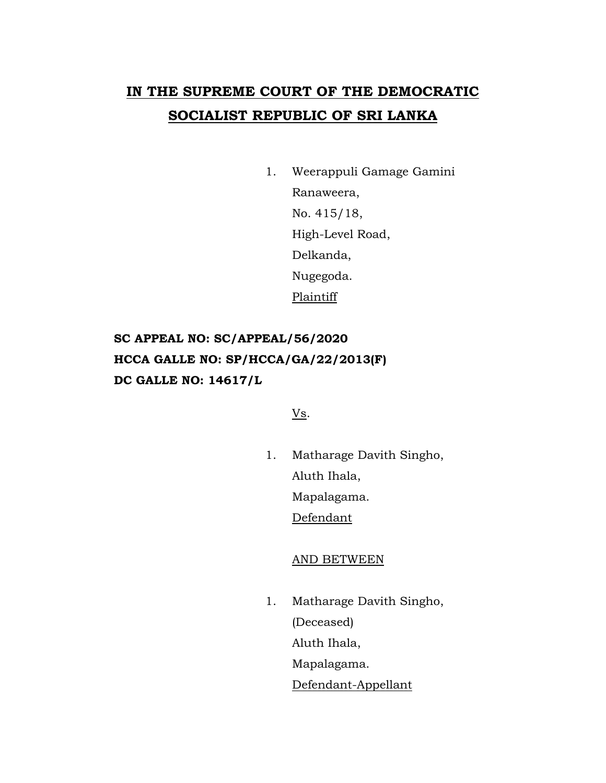# **IN THE SUPREME COURT OF THE DEMOCRATIC SOCIALIST REPUBLIC OF SRI LANKA**

1. Weerappuli Gamage Gamini Ranaweera, No. 415/18, High-Level Road, Delkanda, Nugegoda. Plaintiff

## **SC APPEAL NO: SC/APPEAL/56/2020 HCCA GALLE NO: SP/HCCA/GA/22/2013(F) DC GALLE NO: 14617/L**

Vs.

1. Matharage Davith Singho, Aluth Ihala, Mapalagama. Defendant

## AND BETWEEN

1. Matharage Davith Singho, (Deceased) Aluth Ihala, Mapalagama. Defendant-Appellant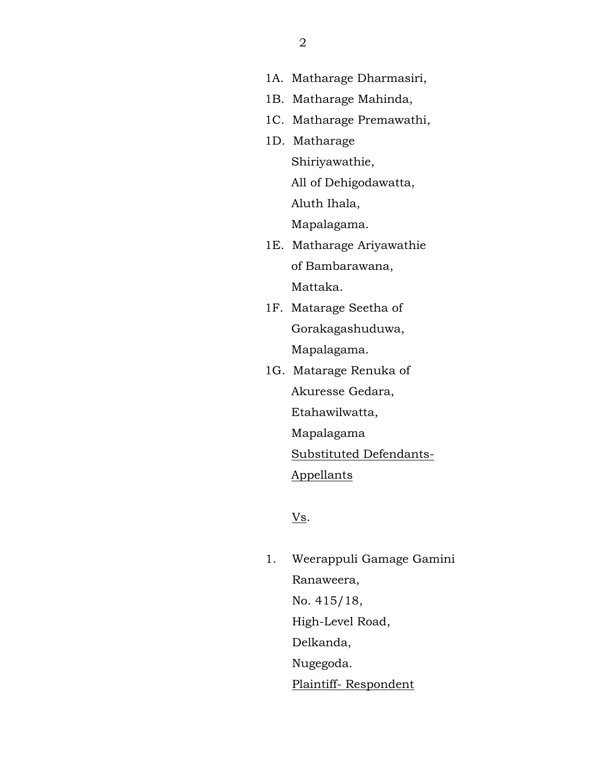- 1A. Matharage Dharmasiri,
- 1B. Matharage Mahinda,
- 1C. Matharage Premawathi,
- 1D. Matharage Shiriyawathie, All of Dehigodawatta, Aluth Ihala,

Mapalagama.

- 1E. Matharage Ariyawathie of Bambarawana, Mattaka.
- 1F. Matarage Seetha of Gorakagashuduwa, Mapalagama.
- 1G. Matarage Renuka of Akuresse Gedara, Etahawilwatta, Mapalagama Substituted Defendants- Appellants

Vs.

1. Weerappuli Gamage Gamini Ranaweera, No. 415/18, High-Level Road, Delkanda, Nugegoda. Plaintiff- Respondent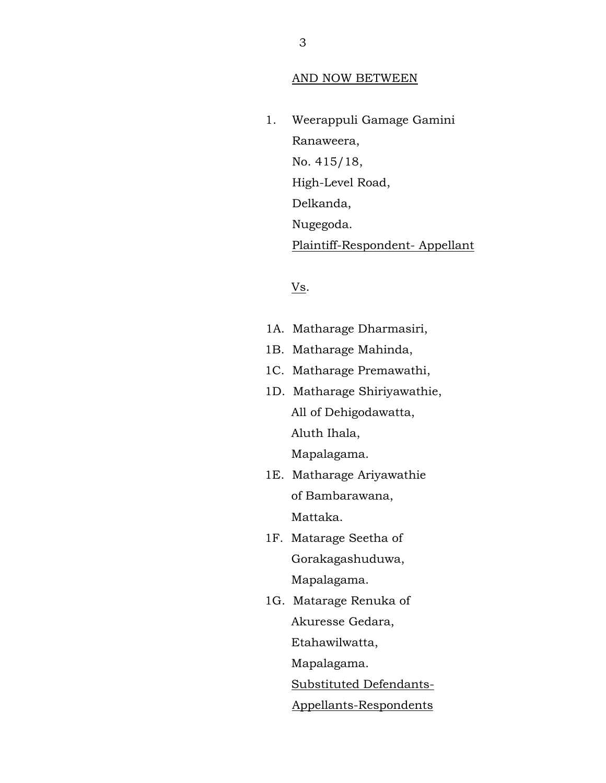#### AND NOW BETWEEN

1. Weerappuli Gamage Gamini Ranaweera, No. 415/18, High-Level Road, Delkanda, Nugegoda. Plaintiff-Respondent- Appellant

## Vs.

- 1A. Matharage Dharmasiri,
- 1B. Matharage Mahinda,
- 1C. Matharage Premawathi,
- 1D. Matharage Shiriyawathie, All of Dehigodawatta, Aluth Ihala, Mapalagama.
- 1E. Matharage Ariyawathie of Bambarawana, Mattaka.
- 1F. Matarage Seetha of Gorakagashuduwa, Mapalagama.
- 1G. Matarage Renuka of Akuresse Gedara, Etahawilwatta, Mapalagama.

Substituted Defendants-

Appellants-Respondents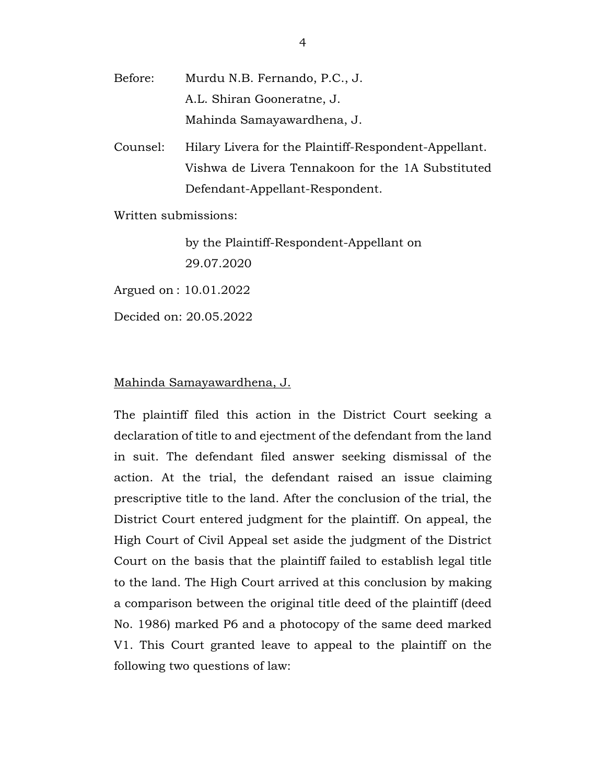- Before: Murdu N.B. Fernando, P.C., J. A.L. Shiran Gooneratne, J. Mahinda Samayawardhena, J.
- Counsel: Hilary Livera for the Plaintiff-Respondent-Appellant. Vishwa de Livera Tennakoon for the 1A Substituted Defendant-Appellant-Respondent.

Written submissions:

by the Plaintiff-Respondent-Appellant on 29.07.2020

Argued on : 10.01.2022

Decided on: 20.05.2022

### Mahinda Samayawardhena, J.

The plaintiff filed this action in the District Court seeking a declaration of title to and ejectment of the defendant from the land in suit. The defendant filed answer seeking dismissal of the action. At the trial, the defendant raised an issue claiming prescriptive title to the land. After the conclusion of the trial, the District Court entered judgment for the plaintiff. On appeal, the High Court of Civil Appeal set aside the judgment of the District Court on the basis that the plaintiff failed to establish legal title to the land. The High Court arrived at this conclusion by making a comparison between the original title deed of the plaintiff (deed No. 1986) marked P6 and a photocopy of the same deed marked V1. This Court granted leave to appeal to the plaintiff on the following two questions of law: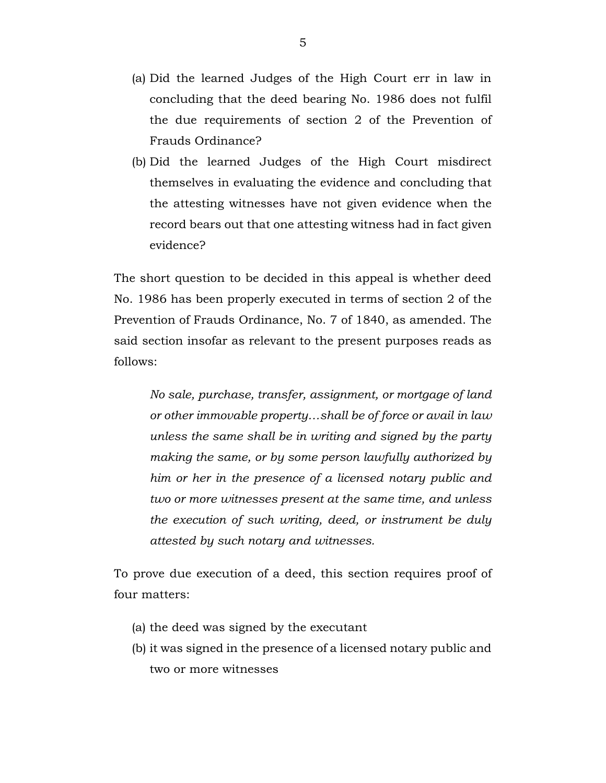- (a) Did the learned Judges of the High Court err in law in concluding that the deed bearing No. 1986 does not fulfil the due requirements of section 2 of the Prevention of Frauds Ordinance?
- (b) Did the learned Judges of the High Court misdirect themselves in evaluating the evidence and concluding that the attesting witnesses have not given evidence when the record bears out that one attesting witness had in fact given evidence?

The short question to be decided in this appeal is whether deed No. 1986 has been properly executed in terms of section 2 of the Prevention of Frauds Ordinance, No. 7 of 1840, as amended. The said section insofar as relevant to the present purposes reads as follows:

*No sale, purchase, transfer, assignment, or mortgage of land or other immovable property…shall be of force or avail in law unless the same shall be in writing and signed by the party making the same, or by some person lawfully authorized by him or her in the presence of a licensed notary public and two or more witnesses present at the same time, and unless the execution of such writing, deed, or instrument be duly attested by such notary and witnesses.*

To prove due execution of a deed, this section requires proof of four matters:

- (a) the deed was signed by the executant
- (b) it was signed in the presence of a licensed notary public and two or more witnesses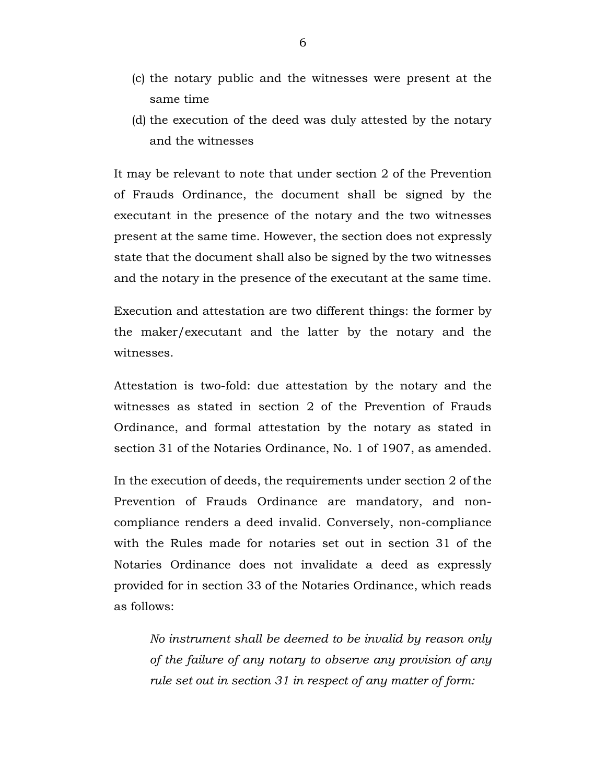- (c) the notary public and the witnesses were present at the same time
- (d) the execution of the deed was duly attested by the notary and the witnesses

It may be relevant to note that under section 2 of the Prevention of Frauds Ordinance, the document shall be signed by the executant in the presence of the notary and the two witnesses present at the same time. However, the section does not expressly state that the document shall also be signed by the two witnesses and the notary in the presence of the executant at the same time.

Execution and attestation are two different things: the former by the maker/executant and the latter by the notary and the witnesses.

Attestation is two-fold: due attestation by the notary and the witnesses as stated in section 2 of the Prevention of Frauds Ordinance, and formal attestation by the notary as stated in section 31 of the Notaries Ordinance, No. 1 of 1907, as amended.

In the execution of deeds, the requirements under section 2 of the Prevention of Frauds Ordinance are mandatory, and noncompliance renders a deed invalid. Conversely, non-compliance with the Rules made for notaries set out in section 31 of the Notaries Ordinance does not invalidate a deed as expressly provided for in section 33 of the Notaries Ordinance, which reads as follows:

*No instrument shall be deemed to be invalid by reason only of the failure of any notary to observe any provision of any rule set out in section 31 in respect of any matter of form:*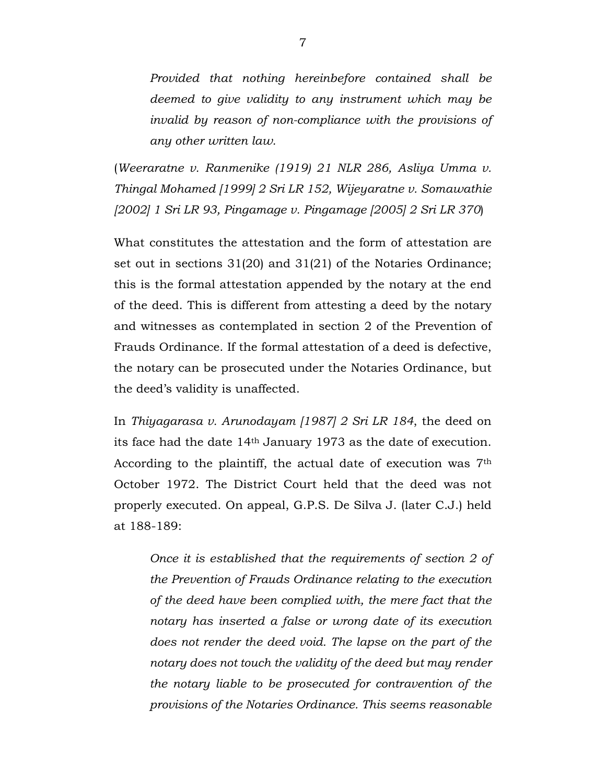*Provided that nothing hereinbefore contained shall be deemed to give validity to any instrument which may be invalid by reason of non-compliance with the provisions of any other written law.*

(*Weeraratne v. Ranmenike (1919) 21 NLR 286, Asliya Umma v. Thingal Mohamed [1999] 2 Sri LR 152, Wijeyaratne v. Somawathie [2002] 1 Sri LR 93, Pingamage v. Pingamage [2005] 2 Sri LR 370*)

What constitutes the attestation and the form of attestation are set out in sections 31(20) and 31(21) of the Notaries Ordinance; this is the formal attestation appended by the notary at the end of the deed. This is different from attesting a deed by the notary and witnesses as contemplated in section 2 of the Prevention of Frauds Ordinance. If the formal attestation of a deed is defective, the notary can be prosecuted under the Notaries Ordinance, but the deed's validity is unaffected.

In *Thiyagarasa v. Arunodayam [1987] 2 Sri LR 184*, the deed on its face had the date 14th January 1973 as the date of execution. According to the plaintiff, the actual date of execution was 7th October 1972. The District Court held that the deed was not properly executed. On appeal, G.P.S. De Silva J. (later C.J.) held at 188-189:

*Once it is established that the requirements of section 2 of the Prevention of Frauds Ordinance relating to the execution of the deed have been complied with, the mere fact that the notary has inserted a false or wrong date of its execution does not render the deed void. The lapse on the part of the notary does not touch the validity of the deed but may render the notary liable to be prosecuted for contravention of the provisions of the Notaries Ordinance. This seems reasonable*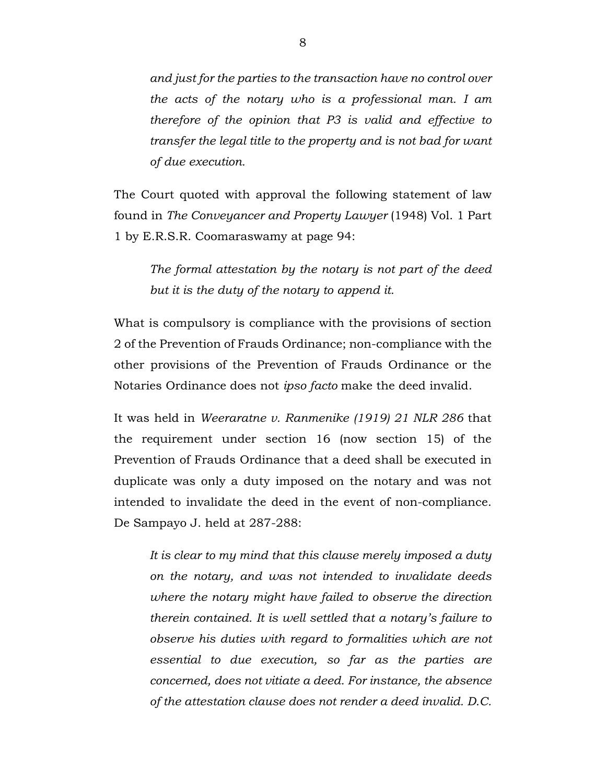*and just for the parties to the transaction have no control over the acts of the notary who is a professional man. I am therefore of the opinion that P3 is valid and effective to transfer the legal title to the property and is not bad for want of due execution.*

The Court quoted with approval the following statement of law found in *The Conveyancer and Property Lawyer* (1948) Vol. 1 Part 1 by E.R.S.R. Coomaraswamy at page 94:

*The formal attestation by the notary is not part of the deed but it is the duty of the notary to append it.* 

What is compulsory is compliance with the provisions of section 2 of the Prevention of Frauds Ordinance; non-compliance with the other provisions of the Prevention of Frauds Ordinance or the Notaries Ordinance does not *ipso facto* make the deed invalid.

It was held in *Weeraratne v. Ranmenike (1919) 21 NLR 286* that the requirement under section 16 (now section 15) of the Prevention of Frauds Ordinance that a deed shall be executed in duplicate was only a duty imposed on the notary and was not intended to invalidate the deed in the event of non-compliance. De Sampayo J. held at 287-288:

*It is clear to my mind that this clause merely imposed a duty on the notary, and was not intended to invalidate deeds where the notary might have failed to observe the direction therein contained. It is well settled that a notary's failure to observe his duties with regard to formalities which are not essential to due execution, so far as the parties are concerned, does not vitiate a deed. For instance, the absence of the attestation clause does not render a deed invalid. D.C.*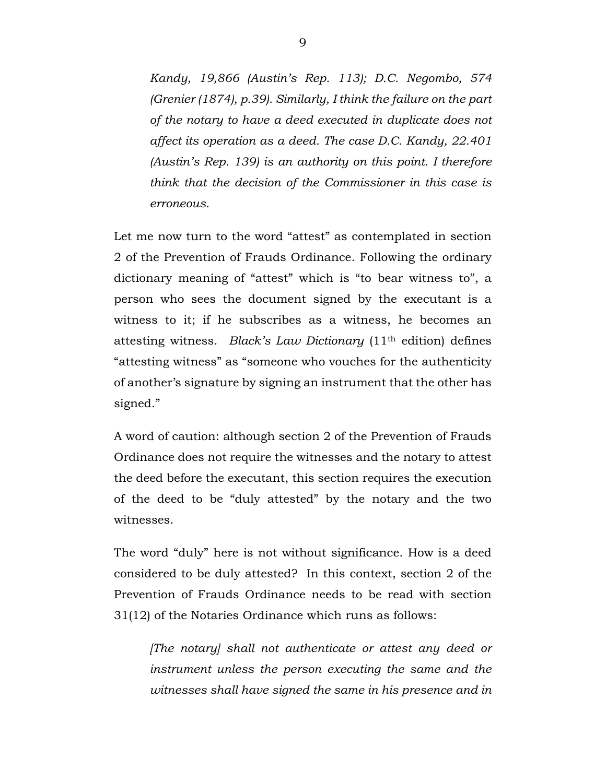*Kandy, 19,866 (Austin's Rep. 113); D.C. Negombo, 574 (Grenier (1874), p.39). Similarly, I think the failure on the part of the notary to have a deed executed in duplicate does not affect its operation as a deed. The case D.C. Kandy, 22.401 (Austin's Rep. 139) is an authority on this point. I therefore think that the decision of the Commissioner in this case is erroneous.*

Let me now turn to the word "attest" as contemplated in section 2 of the Prevention of Frauds Ordinance. Following the ordinary dictionary meaning of "attest" which is "to bear witness to", a person who sees the document signed by the executant is a witness to it; if he subscribes as a witness, he becomes an attesting witness. *Black's Law Dictionary* (11th edition) defines "attesting witness" as "someone who vouches for the authenticity of another's signature by signing an instrument that the other has signed."

A word of caution: although section 2 of the Prevention of Frauds Ordinance does not require the witnesses and the notary to attest the deed before the executant, this section requires the execution of the deed to be "duly attested" by the notary and the two witnesses.

The word "duly" here is not without significance. How is a deed considered to be duly attested? In this context, section 2 of the Prevention of Frauds Ordinance needs to be read with section 31(12) of the Notaries Ordinance which runs as follows:

*[The notary] shall not authenticate or attest any deed or instrument unless the person executing the same and the witnesses shall have signed the same in his presence and in*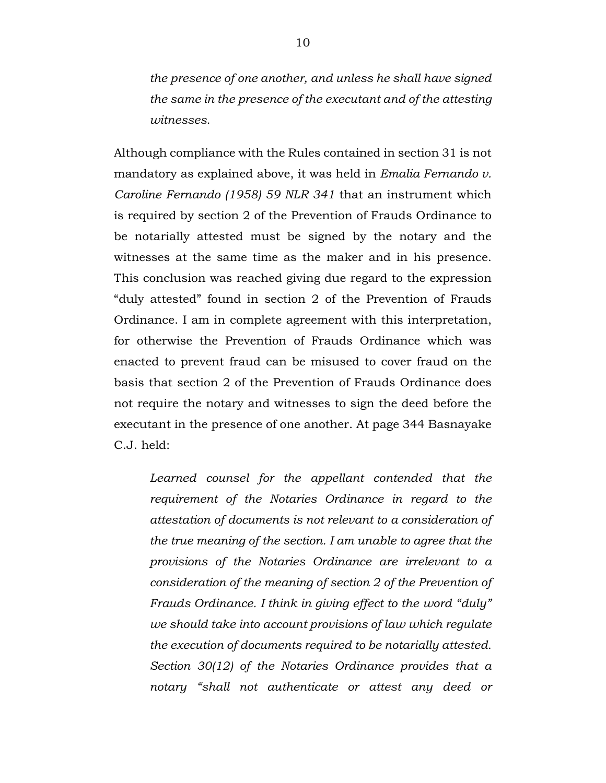*the presence of one another, and unless he shall have signed the same in the presence of the executant and of the attesting witnesses.*

Although compliance with the Rules contained in section 31 is not mandatory as explained above, it was held in *Emalia Fernando v. Caroline Fernando (1958) 59 NLR 341* that an instrument which is required by section 2 of the Prevention of Frauds Ordinance to be notarially attested must be signed by the notary and the witnesses at the same time as the maker and in his presence. This conclusion was reached giving due regard to the expression "duly attested" found in section 2 of the Prevention of Frauds Ordinance. I am in complete agreement with this interpretation, for otherwise the Prevention of Frauds Ordinance which was enacted to prevent fraud can be misused to cover fraud on the basis that section 2 of the Prevention of Frauds Ordinance does not require the notary and witnesses to sign the deed before the executant in the presence of one another. At page 344 Basnayake C.J. held:

*Learned counsel for the appellant contended that the requirement of the Notaries Ordinance in regard to the attestation of documents is not relevant to a consideration of the true meaning of the section. I am unable to agree that the provisions of the Notaries Ordinance are irrelevant to a consideration of the meaning of section 2 of the Prevention of Frauds Ordinance. I think in giving effect to the word "duly" we should take into account provisions of law which regulate the execution of documents required to be notarially attested. Section 30(12) of the Notaries Ordinance provides that a notary "shall not authenticate or attest any deed or*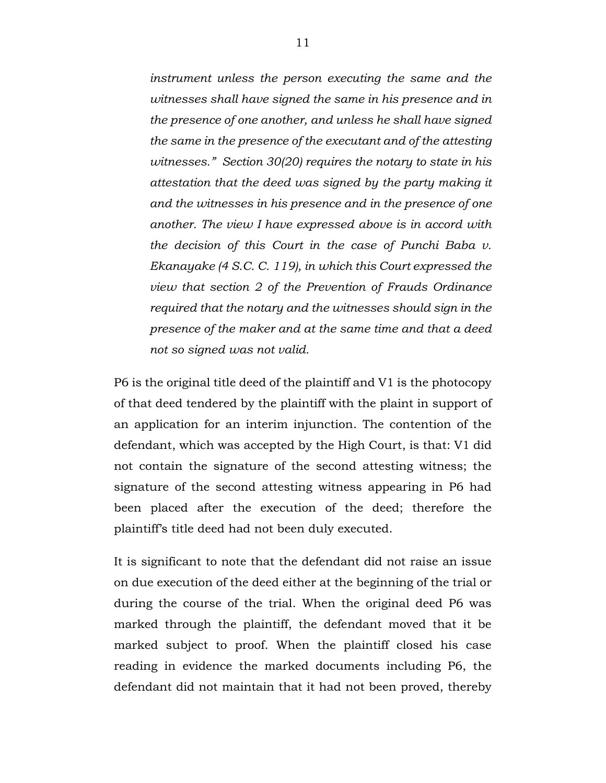*instrument unless the person executing the same and the witnesses shall have signed the same in his presence and in the presence of one another, and unless he shall have signed the same in the presence of the executant and of the attesting witnesses." Section 30(20) requires the notary to state in his attestation that the deed was signed by the party making it and the witnesses in his presence and in the presence of one another. The view I have expressed above is in accord with the decision of this Court in the case of Punchi Baba v. Ekanayake (4 S.C. C. 119), in which this Court expressed the view that section 2 of the Prevention of Frauds Ordinance required that the notary and the witnesses should sign in the presence of the maker and at the same time and that a deed not so signed was not valid.*

P6 is the original title deed of the plaintiff and V1 is the photocopy of that deed tendered by the plaintiff with the plaint in support of an application for an interim injunction. The contention of the defendant, which was accepted by the High Court, is that: V1 did not contain the signature of the second attesting witness; the signature of the second attesting witness appearing in P6 had been placed after the execution of the deed; therefore the plaintiff's title deed had not been duly executed.

It is significant to note that the defendant did not raise an issue on due execution of the deed either at the beginning of the trial or during the course of the trial. When the original deed P6 was marked through the plaintiff, the defendant moved that it be marked subject to proof. When the plaintiff closed his case reading in evidence the marked documents including P6, the defendant did not maintain that it had not been proved, thereby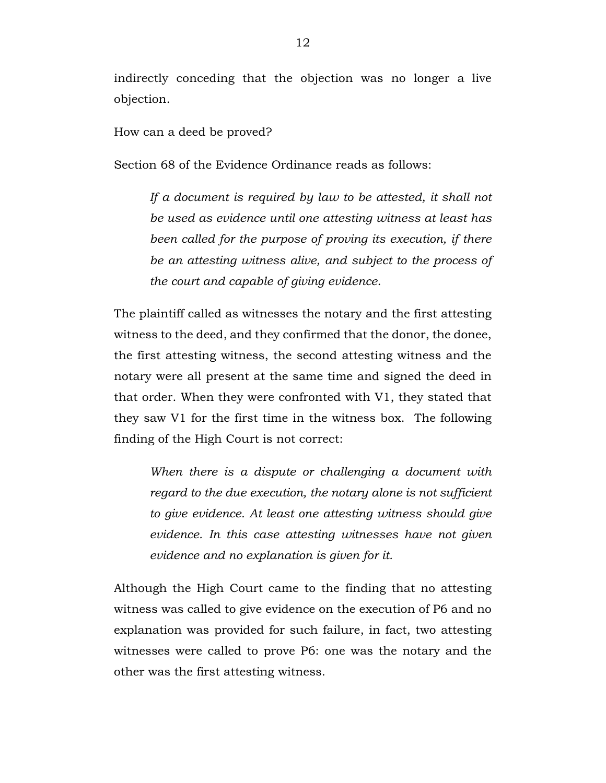indirectly conceding that the objection was no longer a live objection.

How can a deed be proved?

Section 68 of the Evidence Ordinance reads as follows:

*If a document is required by law to be attested, it shall not be used as evidence until one attesting witness at least has been called for the purpose of proving its execution, if there be an attesting witness alive, and subject to the process of the court and capable of giving evidence*.

The plaintiff called as witnesses the notary and the first attesting witness to the deed, and they confirmed that the donor, the donee, the first attesting witness, the second attesting witness and the notary were all present at the same time and signed the deed in that order. When they were confronted with V1, they stated that they saw V1 for the first time in the witness box. The following finding of the High Court is not correct:

*When there is a dispute or challenging a document with regard to the due execution, the notary alone is not sufficient to give evidence. At least one attesting witness should give evidence. In this case attesting witnesses have not given evidence and no explanation is given for it.* 

Although the High Court came to the finding that no attesting witness was called to give evidence on the execution of P6 and no explanation was provided for such failure, in fact, two attesting witnesses were called to prove P6: one was the notary and the other was the first attesting witness.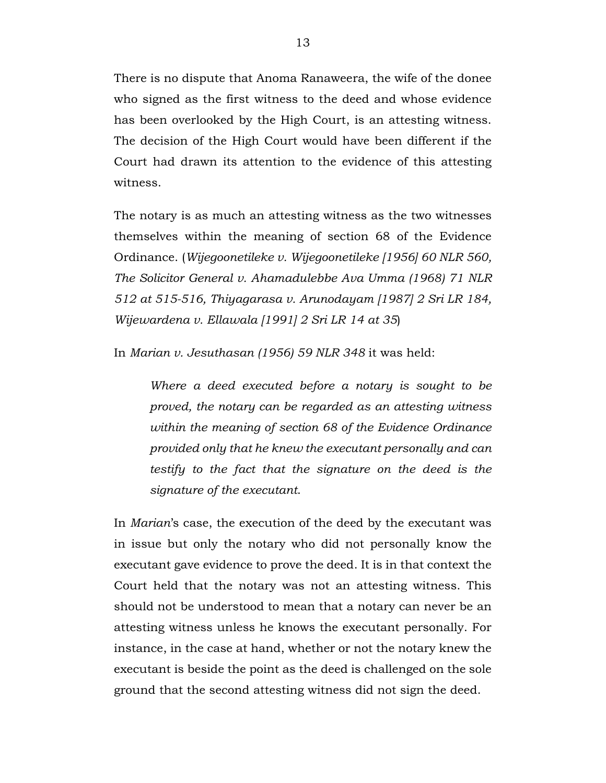There is no dispute that Anoma Ranaweera, the wife of the donee who signed as the first witness to the deed and whose evidence has been overlooked by the High Court, is an attesting witness. The decision of the High Court would have been different if the Court had drawn its attention to the evidence of this attesting witness.

The notary is as much an attesting witness as the two witnesses themselves within the meaning of section 68 of the Evidence Ordinance. (*Wijegoonetileke v. Wijegoonetileke [1956] 60 NLR 560, The Solicitor General v. Ahamadulebbe Ava Umma (1968) 71 NLR 512 at 515-516, Thiyagarasa v. Arunodayam [1987] 2 Sri LR 184, Wijewardena v. Ellawala [1991] 2 Sri LR 14 at 35*)

In *Marian v. Jesuthasan (1956) 59 NLR 348* it was held:

*Where a deed executed before a notary is sought to be proved, the notary can be regarded as an attesting witness within the meaning of section 68 of the Evidence Ordinance provided only that he knew the executant personally and can testify to the fact that the signature on the deed is the signature of the executant*.

In *Marian*'s case, the execution of the deed by the executant was in issue but only the notary who did not personally know the executant gave evidence to prove the deed. It is in that context the Court held that the notary was not an attesting witness. This should not be understood to mean that a notary can never be an attesting witness unless he knows the executant personally. For instance, in the case at hand, whether or not the notary knew the executant is beside the point as the deed is challenged on the sole ground that the second attesting witness did not sign the deed.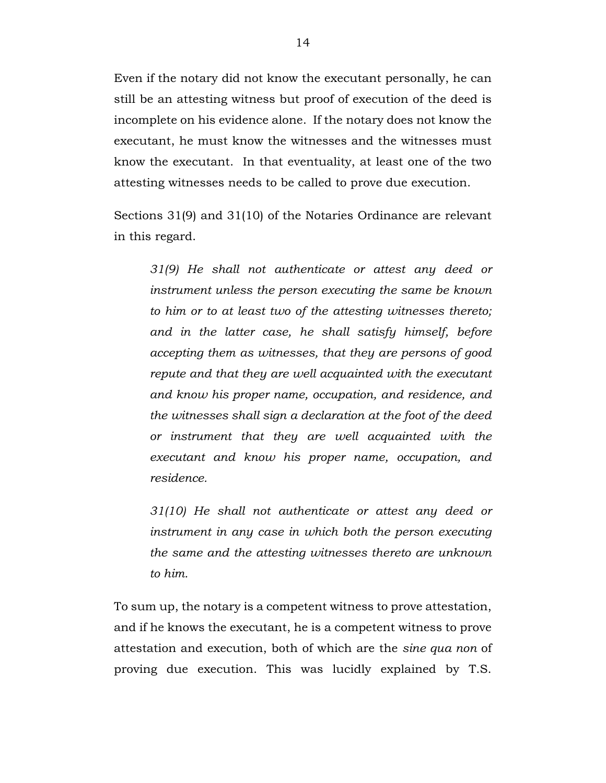Even if the notary did not know the executant personally, he can still be an attesting witness but proof of execution of the deed is incomplete on his evidence alone. If the notary does not know the executant, he must know the witnesses and the witnesses must know the executant. In that eventuality, at least one of the two attesting witnesses needs to be called to prove due execution.

Sections 31(9) and 31(10) of the Notaries Ordinance are relevant in this regard.

*31(9) He shall not authenticate or attest any deed or instrument unless the person executing the same be known to him or to at least two of the attesting witnesses thereto; and in the latter case, he shall satisfy himself, before accepting them as witnesses, that they are persons of good repute and that they are well acquainted with the executant and know his proper name, occupation, and residence, and the witnesses shall sign a declaration at the foot of the deed or instrument that they are well acquainted with the executant and know his proper name, occupation, and residence.*

*31(10) He shall not authenticate or attest any deed or instrument in any case in which both the person executing the same and the attesting witnesses thereto are unknown to him.*

To sum up, the notary is a competent witness to prove attestation, and if he knows the executant, he is a competent witness to prove attestation and execution, both of which are the *sine qua non* of proving due execution. This was lucidly explained by T.S.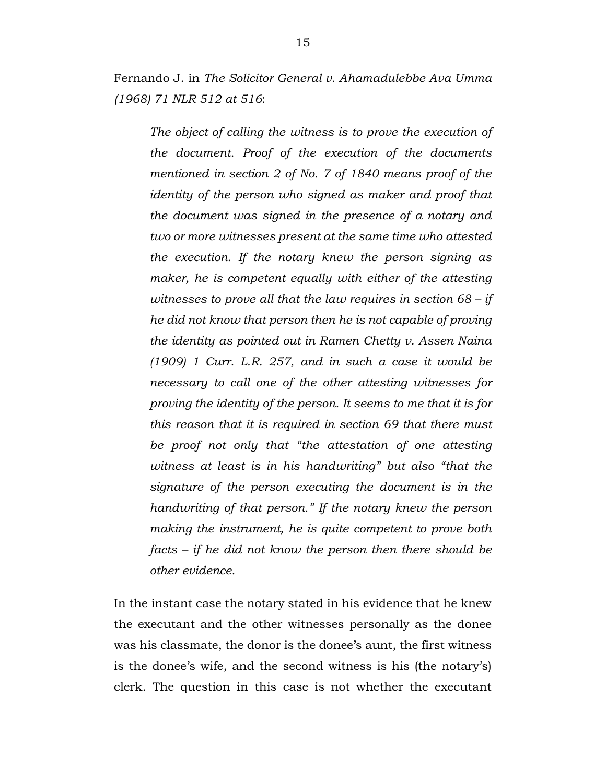Fernando J. in *The Solicitor General v. Ahamadulebbe Ava Umma (1968) 71 NLR 512 at 516*:

*The object of calling the witness is to prove the execution of the document. Proof of the execution of the documents mentioned in section 2 of No. 7 of 1840 means proof of the identity of the person who signed as maker and proof that the document was signed in the presence of a notary and two or more witnesses present at the same time who attested the execution. If the notary knew the person signing as maker, he is competent equally with either of the attesting witnesses to prove all that the law requires in section 68 – if he did not know that person then he is not capable of proving the identity as pointed out in Ramen Chetty v. Assen Naina (1909) 1 Curr. L.R. 257, and in such a case it would be necessary to call one of the other attesting witnesses for proving the identity of the person. It seems to me that it is for this reason that it is required in section 69 that there must be proof not only that "the attestation of one attesting witness at least is in his handwriting" but also "that the signature of the person executing the document is in the handwriting of that person." If the notary knew the person making the instrument, he is quite competent to prove both facts – if he did not know the person then there should be other evidence.*

In the instant case the notary stated in his evidence that he knew the executant and the other witnesses personally as the donee was his classmate, the donor is the donee's aunt, the first witness is the donee's wife, and the second witness is his (the notary's) clerk. The question in this case is not whether the executant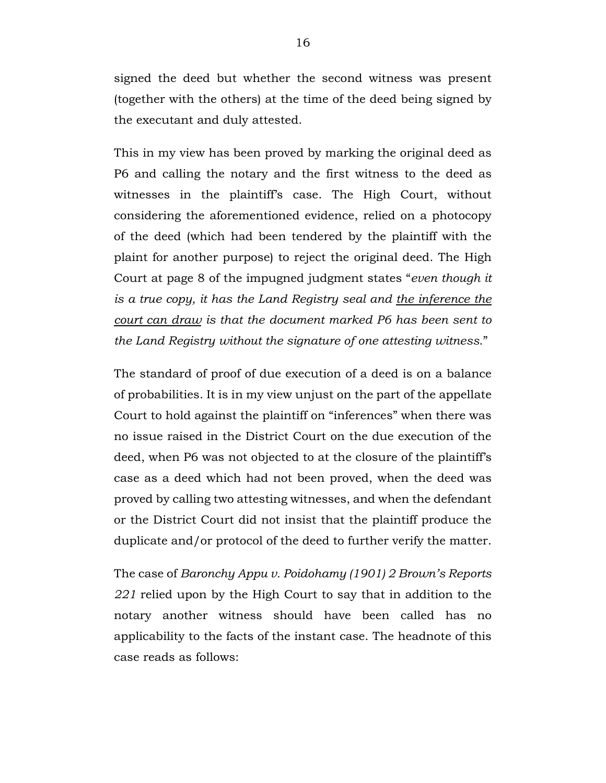signed the deed but whether the second witness was present (together with the others) at the time of the deed being signed by the executant and duly attested.

This in my view has been proved by marking the original deed as P6 and calling the notary and the first witness to the deed as witnesses in the plaintiff's case. The High Court, without considering the aforementioned evidence, relied on a photocopy of the deed (which had been tendered by the plaintiff with the plaint for another purpose) to reject the original deed. The High Court at page 8 of the impugned judgment states "*even though it is a true copy, it has the Land Registry seal and the inference the court can draw is that the document marked P6 has been sent to the Land Registry without the signature of one attesting witness*."

The standard of proof of due execution of a deed is on a balance of probabilities. It is in my view unjust on the part of the appellate Court to hold against the plaintiff on "inferences" when there was no issue raised in the District Court on the due execution of the deed, when P6 was not objected to at the closure of the plaintiff's case as a deed which had not been proved, when the deed was proved by calling two attesting witnesses, and when the defendant or the District Court did not insist that the plaintiff produce the duplicate and/or protocol of the deed to further verify the matter.

The case of *Baronchy Appu v. Poidohamy (1901) 2 Brown's Reports 221* relied upon by the High Court to say that in addition to the notary another witness should have been called has no applicability to the facts of the instant case. The headnote of this case reads as follows: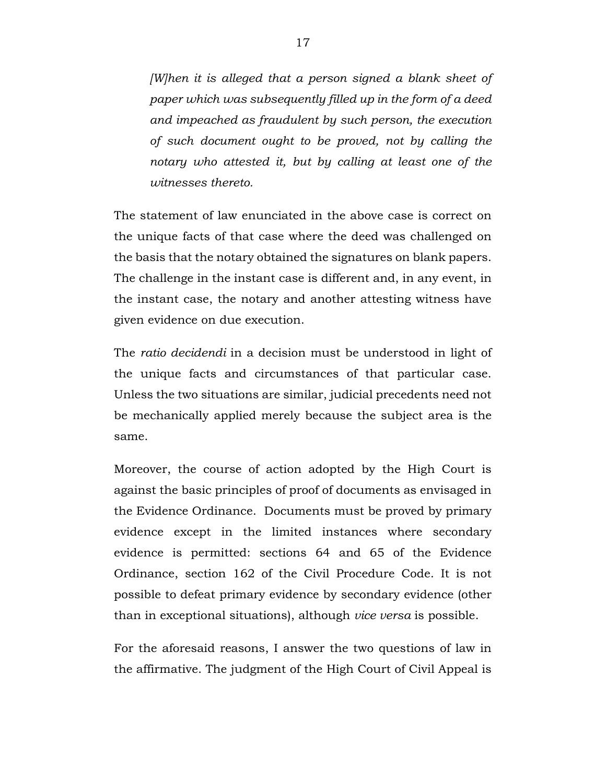*[W]hen it is alleged that a person signed a blank sheet of paper which was subsequently filled up in the form of a deed and impeached as fraudulent by such person, the execution of such document ought to be proved, not by calling the notary who attested it, but by calling at least one of the witnesses thereto.*

The statement of law enunciated in the above case is correct on the unique facts of that case where the deed was challenged on the basis that the notary obtained the signatures on blank papers. The challenge in the instant case is different and, in any event, in the instant case, the notary and another attesting witness have given evidence on due execution.

The *ratio decidendi* in a decision must be understood in light of the unique facts and circumstances of that particular case. Unless the two situations are similar, judicial precedents need not be mechanically applied merely because the subject area is the same.

Moreover, the course of action adopted by the High Court is against the basic principles of proof of documents as envisaged in the Evidence Ordinance. Documents must be proved by primary evidence except in the limited instances where secondary evidence is permitted: sections 64 and 65 of the Evidence Ordinance, section 162 of the Civil Procedure Code. It is not possible to defeat primary evidence by secondary evidence (other than in exceptional situations), although *vice versa* is possible.

For the aforesaid reasons, I answer the two questions of law in the affirmative. The judgment of the High Court of Civil Appeal is